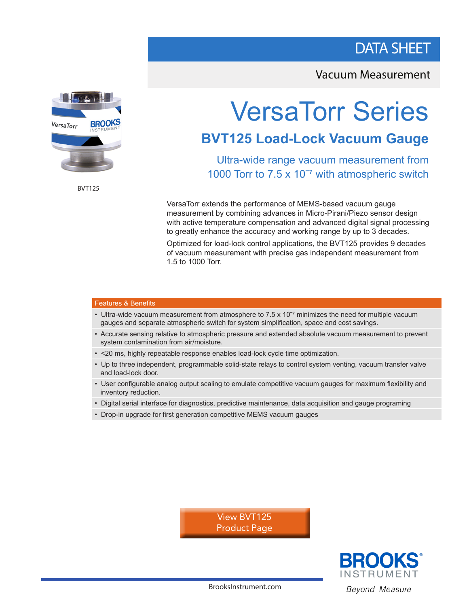## DATA SHEET

### Vacuum Measurement



BVT125

# VersaTorr Series

## **BVT125 Load-Lock Vacuum Gauge**

Ultra-wide range vacuum measurement from 1000 Torr to  $7.5 \times 10^{-7}$  with atmospheric switch

VersaTorr extends the performance of MEMS-based vacuum gauge measurement by combining advances in Micro-Pirani/Piezo sensor design with active temperature compensation and advanced digital signal processing to greatly enhance the accuracy and working range by up to 3 decades.

Optimized for load-lock control applications, the BVT125 provides 9 decades of vacuum measurement with precise gas independent measurement from 1.5 to 1000 Torr.

#### Features & Benefits

- Ultra-wide vacuum measurement from atmosphere to 7.5 x 10<sup>-7</sup> minimizes the need for multiple vacuum gauges and separate atmospheric switch for system simplification, space and cost savings.
- Accurate sensing relative to atmospheric pressure and extended absolute vacuum measurement to prevent system contamination from air/moisture.
- <20 ms, highly repeatable response enables load-lock cycle time optimization.
- Up to three independent, programmable solid-state relays to control system venting, vacuum transfer valve and load-lock door.
- User configurable analog output scaling to emulate competitive vacuum gauges for maximum flexibility and inventory reduction.
- Digital serial interface for diagnostics, predictive maintenance, data acquisition and gauge programing
- Drop-in upgrade for first generation competitive MEMS vacuum gauges

View BVT125 Product Page



BrooksInstrument.com Beyond Measure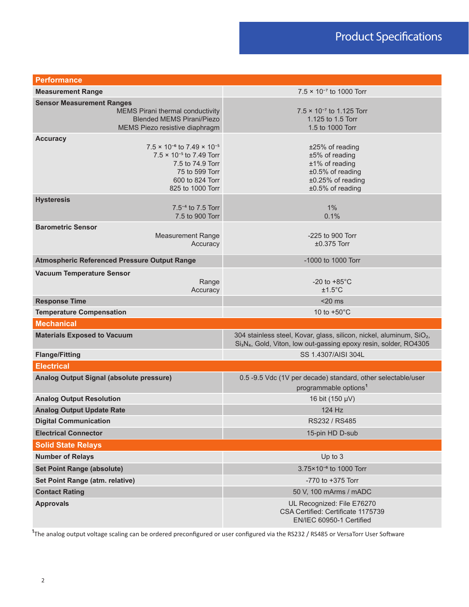| <b>Performance</b>                                                                                                                                                                 |                                                                                                                                                                               |
|------------------------------------------------------------------------------------------------------------------------------------------------------------------------------------|-------------------------------------------------------------------------------------------------------------------------------------------------------------------------------|
| <b>Measurement Range</b>                                                                                                                                                           | $7.5 \times 10^{-7}$ to 1000 Torr                                                                                                                                             |
| <b>Sensor Measurement Ranges</b><br><b>MEMS Pirani thermal conductivity</b><br><b>Blended MEMS Pirani/Piezo</b><br>MEMS Piezo resistive diaphragm                                  | $7.5 \times 10^{-7}$ to 1.125 Torr<br>1.125 to 1.5 Torr<br>1.5 to 1000 Torr                                                                                                   |
| <b>Accuracy</b><br>$7.5 \times 10^{-6}$ to $7.49 \times 10^{-5}$<br>$7.5 \times 10^{-5}$ to 7.49 Torr<br>7.5 to 74.9 Torr<br>75 to 599 Torr<br>600 to 824 Torr<br>825 to 1000 Torr | $±25%$ of reading<br>±5% of reading<br>±1% of reading<br>±0.5% of reading<br>±0.25% of reading<br>±0.5% of reading                                                            |
| <b>Hysteresis</b><br>$7.5^{-4}$ to $7.5$ Torr<br>7.5 to 900 Torr                                                                                                                   | 1%<br>0.1%                                                                                                                                                                    |
| <b>Barometric Sensor</b><br><b>Measurement Range</b><br>Accuracy                                                                                                                   | -225 to 900 Torr<br>$±0.375$ Torr                                                                                                                                             |
| <b>Atmospheric Referenced Pressure Output Range</b>                                                                                                                                | -1000 to 1000 Torr                                                                                                                                                            |
| <b>Vacuum Temperature Sensor</b><br>Range<br>Accuracy                                                                                                                              | $-20$ to $+85^{\circ}$ C<br>$±1.5^{\circ}$ C                                                                                                                                  |
| <b>Response Time</b>                                                                                                                                                               | $<$ 20 $ms$                                                                                                                                                                   |
| <b>Temperature Compensation</b>                                                                                                                                                    | 10 to $+50^{\circ}$ C                                                                                                                                                         |
| <b>Mechanical</b>                                                                                                                                                                  |                                                                                                                                                                               |
| <b>Materials Exposed to Vacuum</b>                                                                                                                                                 | 304 stainless steel, Kovar, glass, silicon, nickel, aluminum, SiO <sub>2</sub> ,<br>Si <sub>3</sub> N <sub>4</sub> , Gold, Viton, low out-gassing epoxy resin, solder, RO4305 |
| <b>Flange/Fitting</b>                                                                                                                                                              | SS 1.4307/AISI 304L                                                                                                                                                           |
| <b>Electrical</b>                                                                                                                                                                  |                                                                                                                                                                               |
| Analog Output Signal (absolute pressure)                                                                                                                                           | 0.5 -9.5 Vdc (1V per decade) standard, other selectable/user<br>programmable options <sup>1</sup>                                                                             |
| <b>Analog Output Resolution</b>                                                                                                                                                    | 16 bit (150 µV)                                                                                                                                                               |
| <b>Analog Output Update Rate</b>                                                                                                                                                   | 124 Hz                                                                                                                                                                        |
| <b>Digital Communication</b>                                                                                                                                                       | RS232 / RS485                                                                                                                                                                 |
| <b>Electrical Connector</b>                                                                                                                                                        | 15-pin HD D-sub                                                                                                                                                               |
| <b>Solid State Relays</b>                                                                                                                                                          |                                                                                                                                                                               |
| <b>Number of Relays</b>                                                                                                                                                            | Up to 3                                                                                                                                                                       |
| <b>Set Point Range (absolute)</b>                                                                                                                                                  | 3.75×10 <sup>-6</sup> to 1000 Torr                                                                                                                                            |
| Set Point Range (atm. relative)                                                                                                                                                    | $-770$ to $+375$ Torr                                                                                                                                                         |
| <b>Contact Rating</b>                                                                                                                                                              | 50 V, 100 mArms / mADC                                                                                                                                                        |
| <b>Approvals</b>                                                                                                                                                                   | UL Recognized: File E76270<br>CSA Certified: Certificate 1175739<br>EN/IEC 60950-1 Certified                                                                                  |

<sup>1</sup>The analog output voltage scaling can be ordered preconfigured or user configured via the RS232 / RS485 or VersaTorr User Software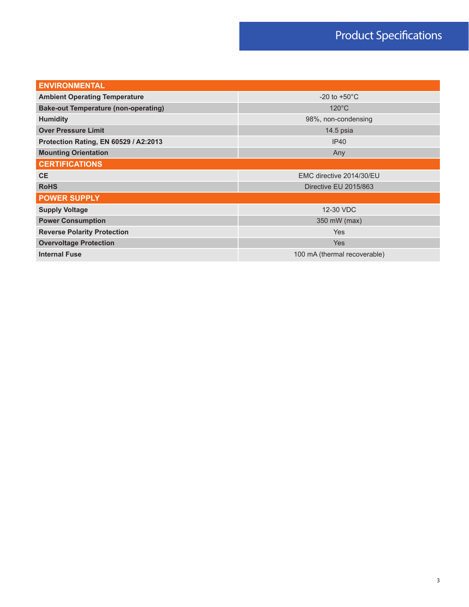# Product Specifications

| <b>ENVIRONMENTAL</b>                        |                              |  |  |
|---------------------------------------------|------------------------------|--|--|
| <b>Ambient Operating Temperature</b>        | -20 to $+50^{\circ}$ C       |  |  |
| <b>Bake-out Temperature (non-operating)</b> | $120^{\circ}$ C              |  |  |
| <b>Humidity</b>                             | 98%, non-condensing          |  |  |
| <b>Over Pressure Limit</b>                  | 14.5 psia                    |  |  |
| Protection Rating, EN 60529 / A2:2013       | IP40                         |  |  |
| <b>Mounting Orientation</b>                 | Any                          |  |  |
| <b>CERTIFICATIONS</b>                       |                              |  |  |
| <b>CE</b>                                   | EMC directive 2014/30/EU     |  |  |
| <b>RoHS</b>                                 | Directive EU 2015/863        |  |  |
| <b>POWER SUPPLY</b>                         |                              |  |  |
| <b>Supply Voltage</b>                       | 12-30 VDC                    |  |  |
| <b>Power Consumption</b>                    | 350 mW (max)                 |  |  |
| <b>Reverse Polarity Protection</b>          | Yes                          |  |  |
| <b>Overvoltage Protection</b>               | <b>Yes</b>                   |  |  |
| <b>Internal Fuse</b>                        | 100 mA (thermal recoverable) |  |  |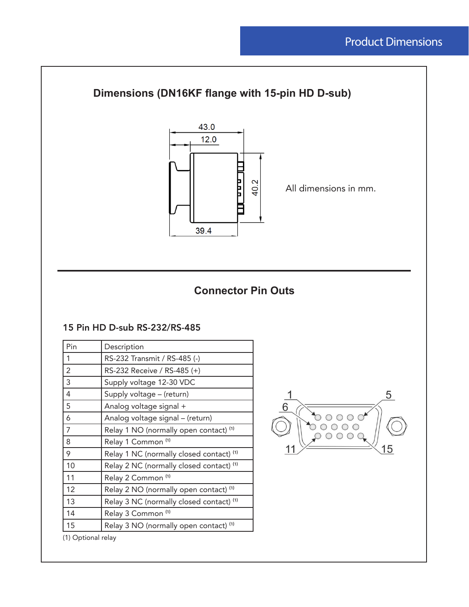# **Dimensions (DN16KF flange with 15-pin HD D-sub)**  43.0  $12.0$ 40.2 All dimensions in mm. 39.4

## **Connector Pin Outs**

### 15 Pin HD D-sub RS-232/RS-485

| Pin                            | Description                                         |  |
|--------------------------------|-----------------------------------------------------|--|
| 1                              | RS-232 Transmit / RS-485 (-)                        |  |
| 2                              | RS-232 Receive / RS-485 (+)                         |  |
| 3                              | Supply voltage 12-30 VDC                            |  |
| $\overline{4}$                 | Supply voltage - (return)                           |  |
| 5                              | Analog voltage signal +                             |  |
| 6                              | Analog voltage signal - (return)                    |  |
| $\overline{7}$                 | Relay 1 NO (normally open contact) (1)              |  |
| 8                              | Relay 1 Common <sup>(1)</sup>                       |  |
| 9                              | Relay 1 NC (normally closed contact) <sup>(1)</sup> |  |
| 10                             | Relay 2 NC (normally closed contact) <sup>(1)</sup> |  |
| 11                             | Relay 2 Common <sup>(1)</sup>                       |  |
| 12                             | Relay 2 NO (normally open contact) (1)              |  |
| 13                             | Relay 3 NC (normally closed contact) <sup>(1)</sup> |  |
| 14                             | Relay 3 Common <sup>(1)</sup>                       |  |
| 15                             | Relay 3 NO (normally open contact) (1)              |  |
| $(4)$ $\wedge$ $\cdot$ $1$ $1$ |                                                     |  |



(1) Optional relay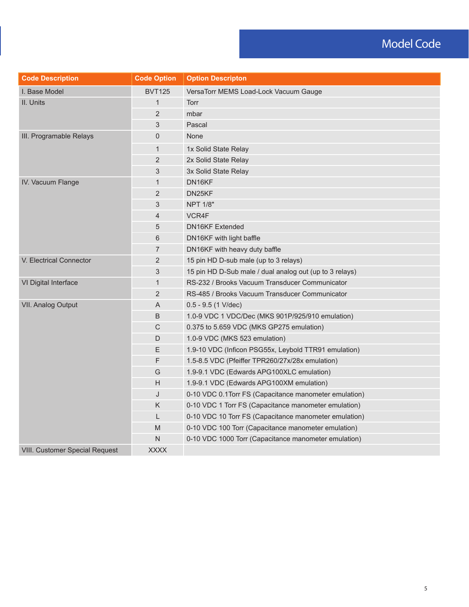## Model Code

| <b>Code Description</b>        | <b>Code Option</b> | <b>Option Descripton</b>                                |
|--------------------------------|--------------------|---------------------------------------------------------|
| I. Base Model                  | <b>BVT125</b>      | VersaTorr MEMS Load-Lock Vacuum Gauge                   |
| II. Units                      | $\mathbf{1}$       | Torr                                                    |
|                                | $\overline{2}$     | mbar                                                    |
|                                | 3                  | Pascal                                                  |
| III. Programable Relays        | 0                  | None                                                    |
|                                | $\mathbf{1}$       | 1x Solid State Relay                                    |
|                                | $\overline{2}$     | 2x Solid State Relay                                    |
|                                | 3                  | 3x Solid State Relay                                    |
| IV. Vacuum Flange              | $\mathbf{1}$       | DN16KF                                                  |
|                                | 2                  | DN25KF                                                  |
|                                | 3                  | <b>NPT 1/8"</b>                                         |
|                                | 4                  | VCR4F                                                   |
|                                | 5                  | <b>DN16KF Extended</b>                                  |
|                                | 6                  | DN16KF with light baffle                                |
|                                | $\overline{7}$     | DN16KF with heavy duty baffle                           |
| V. Electrical Connector        | 2                  | 15 pin HD D-sub male (up to 3 relays)                   |
|                                | 3                  | 15 pin HD D-Sub male / dual analog out (up to 3 relays) |
| VI Digital Interface           | 1                  | RS-232 / Brooks Vacuum Transducer Communicator          |
|                                | 2                  | RS-485 / Brooks Vacuum Transducer Communicator          |
| <b>VII. Analog Output</b>      | A                  | $0.5 - 9.5$ (1 V/dec)                                   |
|                                | B                  | 1.0-9 VDC 1 VDC/Dec (MKS 901P/925/910 emulation)        |
|                                | $\mathsf C$        | 0.375 to 5.659 VDC (MKS GP275 emulation)                |
|                                | D                  | 1.0-9 VDC (MKS 523 emulation)                           |
|                                | Ε                  | 1.9-10 VDC (Inficon PSG55x, Leybold TTR91 emulation)    |
|                                | F                  | 1.5-8.5 VDC (Pfeiffer TPR260/27x/28x emulation)         |
|                                | G                  | 1.9-9.1 VDC (Edwards APG100XLC emulation)               |
|                                | H                  | 1.9-9.1 VDC (Edwards APG100XM emulation)                |
|                                | J                  | 0-10 VDC 0.1Torr FS (Capacitance manometer emulation)   |
|                                | K                  | 0-10 VDC 1 Torr FS (Capacitance manometer emulation)    |
|                                | L                  | 0-10 VDC 10 Torr FS (Capacitance manometer emulation)   |
|                                | M                  | 0-10 VDC 100 Torr (Capacitance manometer emulation)     |
|                                | N                  | 0-10 VDC 1000 Torr (Capacitance manometer emulation)    |
| VIII. Customer Special Request | <b>XXXX</b>        |                                                         |